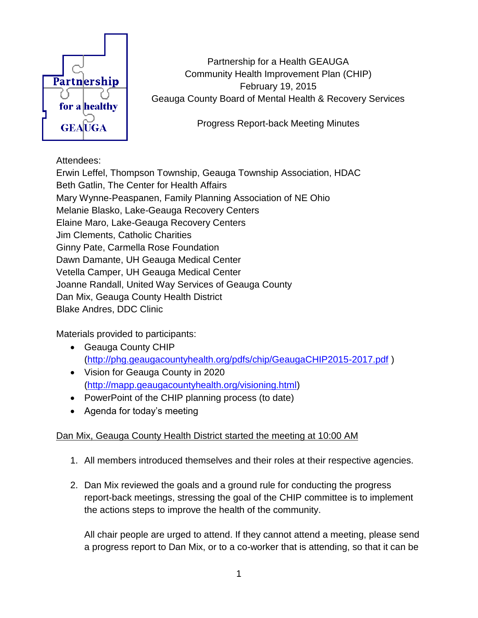

Partnership for a Health GEAUGA Community Health Improvement Plan (CHIP) February 19, 2015 Geauga County Board of Mental Health & Recovery Services

Progress Report-back Meeting Minutes

## Attendees:

Erwin Leffel, Thompson Township, Geauga Township Association, HDAC Beth Gatlin, The Center for Health Affairs Mary Wynne-Peaspanen, Family Planning Association of NE Ohio Melanie Blasko, Lake-Geauga Recovery Centers Elaine Maro, Lake-Geauga Recovery Centers Jim Clements, Catholic Charities Ginny Pate, Carmella Rose Foundation Dawn Damante, UH Geauga Medical Center Vetella Camper, UH Geauga Medical Center Joanne Randall, United Way Services of Geauga County Dan Mix, Geauga County Health District Blake Andres, DDC Clinic

Materials provided to participants:

- Geauga County CHIP [\(http://phg.geaugacountyhealth.org/pdfs/chip/GeaugaCHIP2015-2017.pdf](http://phg.geaugacountyhealth.org/pdfs/chip/GeaugaCHIP2015-2017.pdf) )
- Vision for Geauga County in 2020 [\(http://mapp.geaugacountyhealth.org/visioning.html\)](http://mapp.geaugacountyhealth.org/visioning.html)
- PowerPoint of the CHIP planning process (to date)
- Agenda for today's meeting

## Dan Mix, Geauga County Health District started the meeting at 10:00 AM

- 1. All members introduced themselves and their roles at their respective agencies.
- 2. Dan Mix reviewed the goals and a ground rule for conducting the progress report-back meetings, stressing the goal of the CHIP committee is to implement the actions steps to improve the health of the community.

All chair people are urged to attend. If they cannot attend a meeting, please send a progress report to Dan Mix, or to a co-worker that is attending, so that it can be